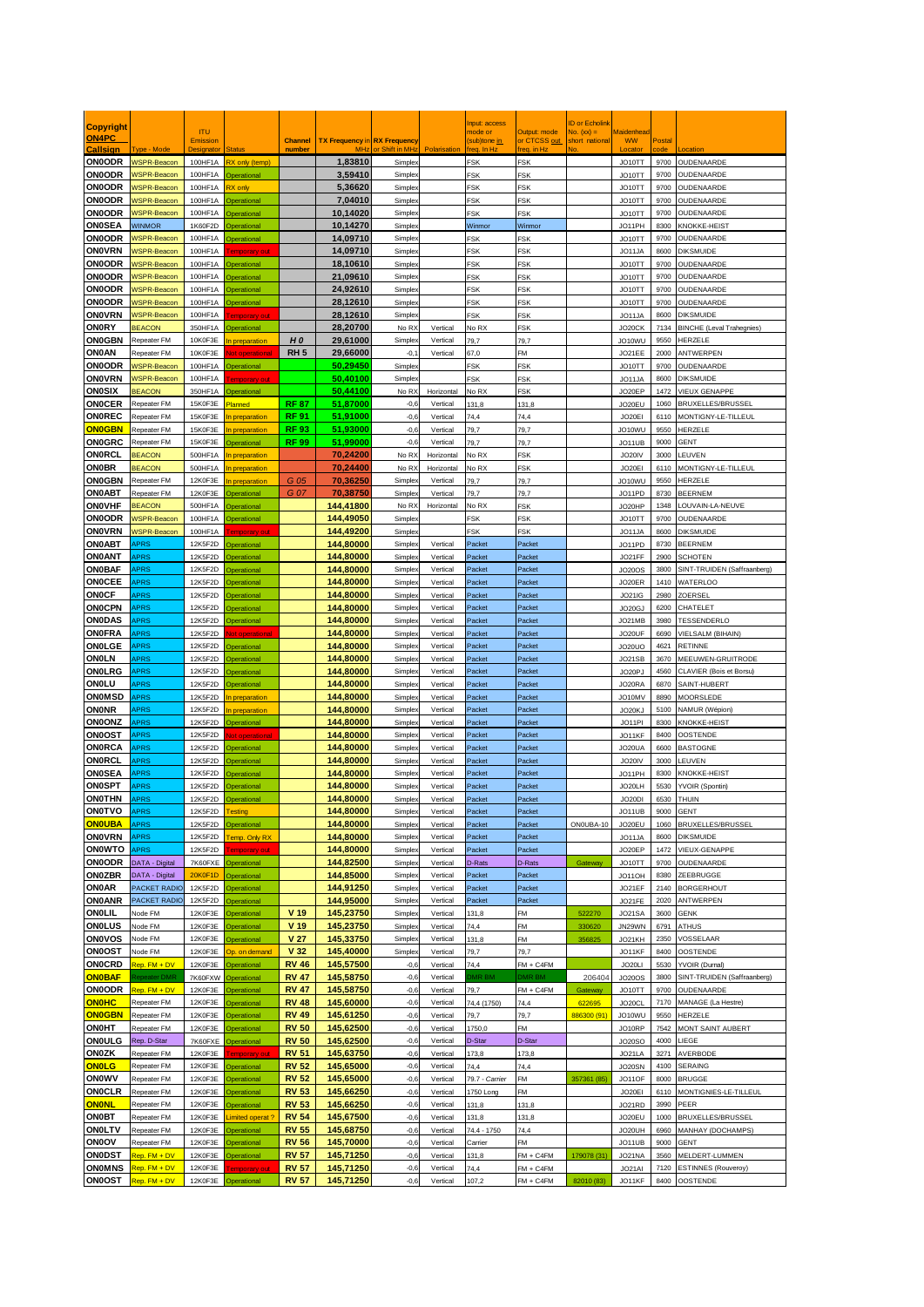|                                |                                          |                        |                                     |                              |                                     |                           |                        | nput: access             |                              | D or Echolin                  |                                |              |                                                |
|--------------------------------|------------------------------------------|------------------------|-------------------------------------|------------------------------|-------------------------------------|---------------------------|------------------------|--------------------------|------------------------------|-------------------------------|--------------------------------|--------------|------------------------------------------------|
| <b>Copyright</b><br>ON4PC      |                                          | <b>ITU</b><br>Emission |                                     | <b>Channel</b>               | <b>TX Frequency in RX Frequency</b> |                           |                        | mode or<br>(sub)tone in  | Output: mode<br>or CTCSS out | No. $(xx) =$<br>short nationa | <b>Maidenhead</b><br><b>WW</b> | Postal       |                                                |
| Callsion                       | <b>Type - Mode</b>                       |                        |                                     | number                       | <b>MH</b>                           | or Shift in MH            | Polarisation           | $\ln H$                  | req. in Hz                   |                               | <b>Locate</b>                  |              |                                                |
| <b>ON0ODR</b>                  | <b>WSPR-Beacon</b>                       | 100HF1A                | X only (temp)                       |                              | 1,83810                             | <b>Simple</b>             |                        | <b>FSK</b>               | FSK                          |                               | JO10TT                         | 9700         | OUDENAARDE                                     |
| <b>ON0ODR</b>                  | <b>NSPR-Beacon</b>                       | 100HF1A                | perational                          |                              | 3,59410                             | Simple:                   |                        | FSK                      | <b>SK</b>                    |                               | JO10TT                         | 9700         | OUDENAARDE                                     |
| <b>ON0ODR</b><br><b>ON0ODR</b> | <b>NSPR-Beacon</b><br><b>NSPR-Beacon</b> | 100HF1A<br>100HF1A     | X only<br><b>perational</b>         |                              | 5,36620<br>7.04010                  | <b>Simple</b><br>Simple:  |                        | <b>FSK</b><br><b>FSK</b> | FSK<br>FSK                   |                               | JO10TT<br>JO10TT               | 9700<br>9700 | OUDENAARDE<br>OUDENAARDE                       |
| <b>ON0ODR</b>                  | <b>NSPR-Beacon</b>                       | 100HF1A                | perational                          |                              | 10,14020                            | Simple:                   |                        | FSK                      | FSK                          |                               | JO10TT                         | 9700         | OUDENAARDE                                     |
| <b>ON0SEA</b>                  | <b>NINMOR</b>                            | 1K60F2D                | perational                          |                              | 10,14270                            | Simple:                   |                        | Winmor                   | Winmor                       |                               | JO11PH                         | 8300         | KNOKKE-HEIST                                   |
| <b>ON0ODR</b>                  | <b>NSPR-Beacon</b>                       | 100HF1A                | <b>Operational</b>                  |                              | 14,09710                            | Simple:                   |                        | FSK                      | FSK                          |                               | JO10TT                         | 9700         | OUDENAARDE                                     |
| <b>ON0VRN</b>                  | WSPR-Beacon                              | 100HF1A                | mporary ou                          |                              | 14,09710                            | Simplex                   |                        | <b>FSK</b>               | =SK                          |                               | JO11JA                         | 8600         | <b>DIKSMUIDE</b>                               |
| <b>ON0ODR</b>                  | <b>NSPR-Beacon</b>                       | 100HF1A                | perational                          |                              | 18,10610                            | Simple:                   |                        | FSK                      | FSK                          |                               | JO10TT                         | 9700         | OUDENAARDE                                     |
| <b>ON0ODR</b>                  | <b>NSPR-Beacon</b>                       | 100HF1A                | perational                          |                              | 21,09610                            | Simple:                   |                        | <b>FSK</b>               | FSK                          |                               | JO10TT                         | 9700         | OUDENAARDE                                     |
| <b>ON0ODR</b><br><b>ON0ODR</b> | <b>NSPR-Beacon</b><br><b>NSPR-Beacon</b> | 100HF1A<br>100HF1A     | perational<br><b>Operational</b>    |                              | 24,92610<br>28,12610                | Simple.<br><b>Simple</b>  |                        | <b>FSK</b><br><b>FSK</b> | FSK<br>FSK                   |                               | JO <sub>10</sub> TT<br>JO10TT  | 9700<br>9700 | OUDENAARDE<br>OUDENAARDE                       |
| <b>ONOVRN</b>                  | <b>NSPR-Beacon</b>                       | 100HF1A                | emporary out                        |                              | 28.12610                            | Simple:                   |                        | FSK                      | FSK                          |                               | JO11JA                         | 8600         | <b>DIKSMUIDE</b>                               |
| <b>ON0RY</b>                   | <b>BEACON</b>                            | 350HF1A                | perational                          |                              | 28,20700                            | No R)                     | Vertical               | No RX                    | FSK                          |                               | JO20CK                         | 7134         | <b>BINCHE</b> (Leval Trahegnies)               |
| <b>ON0GBN</b>                  | Repeater FM                              | 10K0F3E                | n preparation                       | H <sub>0</sub>               | 29,61000                            | Simple:                   | Vertical               | 79,7                     | 79,7                         |                               | JO10WU                         | 9550         | HERZELE                                        |
| ON0AN                          | Repeater FM                              | 10K0F3E                | t operation                         | RH <sub>5</sub>              | 29,66000                            | $-0,1$                    | Vertical               | 67,0                     | FM                           |                               | JO21EE                         | 2000         | ANTWERPEN                                      |
| <b>ON0ODR</b>                  | <b>NSPR-Beacon</b>                       | 100HF1A                | perational                          |                              | 50,29450                            | Simple:                   |                        | FSK                      | FSK                          |                               | JO10TT                         | 9700         | OUDENAARDE                                     |
| <b>ON0VRN</b>                  | <b>NSPR-Beacon</b><br><b>BEACON</b>      | 100HF1A                | emporary out                        |                              | 50,40100                            | Simple:                   |                        | <b>FSK</b>               | FSK                          |                               | JO11JA                         | 8600<br>1472 | <b>DIKSMUIDE</b>                               |
| <b>ON0SIX</b><br><b>ONOCER</b> | Repeater FM                              | 350HF1A<br>15K0F3E     | <b>Operational</b><br><b>lanned</b> | <b>RF 87</b>                 | 50,44100<br>51,87000                | No RX<br>$-0,6$           | Horizontal<br>Vertical | No RX<br>131,8           | FSK<br>131,8                 |                               | JO20EP<br>JO20EU               | 1060         | VIEUX GENAPPE<br>BRUXELLES/BRUSSEI             |
| ONOREC                         | Repeater FM                              | 15K0F3E                | preparation                         | <b>RF 91</b>                 | 51,91000                            | $-0,6$                    | Vertical               | 74,4                     | 74,4                         |                               | JO20EI                         | 6110         | MONTIGNY-LE-TILLEUL                            |
| <b>ON0GBN</b>                  | Repeater FM                              | 15K0F3E                | <b>preparation</b>                  | <b>RF 93</b>                 | 51,93000                            | $-0,6$                    | Vertical               | 79,7                     | 79,7                         |                               | JO10WU                         | 9550         | <b>HFRZFIF</b>                                 |
| <b>ON0GRC</b>                  | Repeater FM                              | 15K0F3E                | perational                          | <b>RF 99</b>                 | 51,99000                            | $-0,6$                    | Vertical               | 79,7                     | 79,7                         |                               | JO11UB                         | 9000         | <b>GENT</b>                                    |
| ONORCL                         | <b>BEACON</b>                            | 500HF1A                | preparation                         |                              | 70.24200                            | No R>                     | Horizontal             | No RX                    | FSK                          |                               | JO20IV                         | 3000         | LEUVEN                                         |
| <b>ON0BR</b>                   | <b>BEACON</b><br>Repeater FM             | 500HF1A                | preparation                         |                              | 70,24400                            | No R)                     | Horizontal             | No RX                    | FSK                          |                               | JO20EI                         | 6110         | MONTIGNY-LE-TILLEUL                            |
| <b>ON0GBN</b><br><b>ON0ABT</b> | Repeater FM                              | 12K0F3E<br>12K0F3E     | preparation<br>berational           | G 05<br>G 07                 | 70.36250<br>70,38750                | Simple:<br><b>Simple</b>  | Vertical<br>Vertical   | 79.7<br>79,7             | 79,7<br>79,7                 |                               | JO10WU<br>JO11PD               | 9550<br>8730 | HERZELE<br><b>BEERNEM</b>                      |
| ONOVHF                         | <b>BEACON</b>                            | 500HF1A                | <b>Operational</b>                  |                              | 144.41800                           | No R)                     | Horizontal             | No RX                    | FSK                          |                               | JO20HP                         | 1348         | LOUVAIN-LA-NEUVE                               |
| <b>ON0ODR</b>                  | WSPR-Beacon                              | 100HF1A                | <b>Operational</b>                  |                              | 144,49050                           | Simple:                   |                        | FSK                      | FSK                          |                               | JO10TT                         | 9700         | OUDENAARDE                                     |
| <b>ON0VRN</b>                  | <b>NSPR-Beacon</b>                       | 100HF1A                | emporary out                        |                              | 144,49200                           | Simple.                   |                        | FSK                      | FSK                          |                               | JO11JA                         | 8600         | <b>DIKSMUIDE</b>                               |
| ON0ABT                         | APRS                                     | 12K5F2D                | perational                          |                              | 144,80000                           | Simple:                   | Vertical               | Packet                   | Packet                       |                               | JO11PD                         | 8730         | <b>BEERNEM</b>                                 |
| ON0ANT                         | <b>APRS</b>                              | 12K5F2D                | perational                          |                              | 144,80000                           | Simple:                   | Vertical               | Packet                   | Packet                       |                               | JO21FF                         | 2900         | <b>SCHOTEN</b>                                 |
| <b>ON0BAF</b><br><b>ONOCEE</b> | APRS<br><b>APRS</b>                      | 12K5F2D<br>12K5F2D     | perational<br>perational            |                              | 144,80000<br>144,80000              | <b>Simple</b><br>Simple:  | Vertical<br>Vertical   | Packet<br>Packet         | Packet<br>Packet             |                               | <b>JO20OS</b><br>JO20ER        | 3800<br>1410 | SINT-TRUIDEN (Saffraanberg)<br><b>WATERLOO</b> |
| ONOCF                          | APRS                                     | 12K5F2D                | perational                          |                              | 144,80000                           | Simple:                   | Vertical               | Packet                   | Packet                       |                               | <b>JO21IG</b>                  | 2980         | ZOERSEL                                        |
| <b>ONOCPN</b>                  | <b>APRS</b>                              | 12K5F2D                | perational                          |                              | 144,80000                           | Simple:                   | Vertical               | Packet                   | Packet                       |                               | JO20GJ                         | 6200         | CHATELET                                       |
| <b>ON0DAS</b>                  | APRS                                     | 12K5F2D                | <b>Operational</b>                  |                              | 144,80000                           | Simple:                   | Vertical               | Packet                   | Packet                       |                               | JO21MB                         | 3980         | TESSENDERLO                                    |
| ONOFRA                         | <b>APRS</b>                              | 12K5F2D                | ot operational                      |                              | 144,80000                           | Simple:                   | Vertical               | Packet                   | Packet                       |                               | JO20UF                         | 6690         | VIELSALM (BIHAIN)                              |
| ONOLGE                         | APRS                                     | 12K5F2D                | perational                          |                              | 144,80000                           | Simple <sub>x</sub>       | Vertical               | Packet                   | Packet                       |                               | JO20UO                         | 4621         | RETINNE                                        |
| ONOLN<br>ONOLRG                | APRS<br><b>APRS</b>                      | 12K5F2D<br>12K5F2D     | berational<br>perational            |                              | 144,80000<br>144,80000              | <b>Simple</b><br>Simple.  | Vertical<br>Vertical   | Packet<br>Packet         | Packet<br>Packet             |                               | JO21SB<br>JO20PJ               | 3670<br>4560 | MEEUWEN-GRUITRODE<br>CLAVIER (Bois et Borsu)   |
| ONOLU                          | APRS                                     | 12K5F2D                | perational                          |                              | 144,80000                           | <b>Simple</b>             | Vertical               | Packet                   | Packet                       |                               | JO20RA                         | 6870         | SAINT-HUBERT                                   |
| ONOMSD                         | APRS                                     | 12K5F2D                | preparation                         |                              | 144,80000                           | Simple:                   | Vertical               | Packet                   | Packet                       |                               | JO10MV                         | 8890         | MOORSLEDE                                      |
| <b>ON0NR</b>                   | APRS                                     | 12K5F2D                | preparation                         |                              | 144,80000                           | <b>Simple</b>             | Vertical               | Packet                   | Packet                       |                               | JO20KJ                         | 5100         | NAMUR (Wépion)                                 |
| <b>ON0ONZ</b>                  | <b>APRS</b>                              | 12K5F2D                | <b>Operational</b>                  |                              | 144.80000                           | Simple:                   | Vertical               | Packet                   | Packet                       |                               | JO11PI                         | 8300         | KNOKKE-HEIST                                   |
| ON0OST<br>ONORCA               | APRS<br><b>APRS</b>                      | 12K5F2D<br>12K5F2D     | ot operationa<br>perational         |                              | 144,80000<br>144,80000              | <b>Simple</b><br>Simple:  | Vertical<br>Vertical   | Packet<br>Packet         | Packet<br>Packet             |                               | JO11KF<br>JO20UA               | 8400<br>6600 | <b>OOSTENDE</b><br><b>BASTOGNE</b>             |
| ONORCL                         | APRS                                     | 12K5F2D                | perational                          |                              | 144,80000                           | Simple:                   | Vertical               | Packet                   | Packet                       |                               | JO20IV                         | 3000         | <b>EUVEN</b>                                   |
| <b>ON0SEA</b>                  | <b>APRS</b>                              | 12K5F2D                | perational                          |                              | 144,80000                           | Simple:                   | Vertical               | Packet                   | Packet                       |                               | JO11PH                         | 8300         | <b>KNOKKE-HEIST</b>                            |
| <b>ON0SPT</b>                  | APRS                                     | 12K5F2D                | perational                          |                              | 144,80000                           | <b>Simple</b>             | Vertical               | Packet                   | Packet                       |                               | JO20LH                         | 5530         | YVOIR (Spontin)                                |
| <b>ONOTHN</b>                  | <b>APRS</b>                              | 12K5F2D                | <b>Operational</b>                  |                              | 144,80000                           | Simple:                   | Vertical               | Packet                   | Packet                       |                               | JO20DI                         | 6530         | THUIN                                          |
| <b>ON0TVO</b>                  | <b>APRS</b>                              | 12K5F2D                | esting                              |                              | 144,80000<br>144,80000              | <b>Simple</b>             | Vertical               | Packet                   | Packet                       |                               | JO11UB                         | 9000         | <b>GENT</b>                                    |
| <b>ONOUBA</b><br><b>ON0VRN</b> | <b>APRS</b><br>APRS                      | 12K5F2D<br>12K5F2D     | <b>Operational</b><br>emp. Only RX  |                              | 144,80000                           | Simple)<br><b>Simplex</b> | Vertical<br>Vertical   | Packet<br>Packet         | Packet<br>Packet             | ON0UBA-10                     | JO20EU<br>JO11JA               | 1060<br>8600 | BRUXELLES/BRUSSEL<br><b>DIKSMUIDE</b>          |
| ON0WTO                         | APRS                                     | 12K5F2D                | emporary out                        |                              | 144,80000                           | <b>Simple</b>             | Vertical               | Packet                   | Packet                       |                               | JO20EP                         | 1472         | VIEUX-GENAPPE                                  |
| <b>ON0ODR</b>                  | DATA - Digital                           | 7K60FXE                | <b>Operational</b>                  |                              | 144,82500                           | Simple)                   | Vertical               | D-Rats                   | D-Rats                       | Gateway                       | JO10TT                         | 9700         | OUDENAARDE                                     |
| <b>ON0ZBR</b>                  | DATA - Digital                           | 20K0F1D                | <b>Operational</b>                  |                              | 144,85000                           | Simplex                   | Vertical               | Packet                   | Packet                       |                               | JO11OH                         | 8380         | ZEEBRUGGE                                      |
| ON0AR                          | PACKET RADIC                             | 12K5F2D                | perational                          |                              | 144,91250                           | <b>Simple</b>             | Vertical               | Packet                   | Packet                       |                               | JO21EF                         | 2140         | <b>BORGERHOUT</b>                              |
| <b>ON0ANR</b><br>ONOLIL        | PACKET RADIO<br>Node FM                  | 12K5F2D<br>12K0F3E     | perational<br><b>perational</b>     | V 19                         | 144,95000<br>145,23750              | Simple:<br>Simple)        | Vertical<br>Vertical   | Packet<br>131,8          | Packet<br>FM                 | 522270                        | JO21FE<br><b>JO21SA</b>        | 2020<br>3600 | ANTWERPEN<br><b>GENK</b>                       |
| <b>ON0LUS</b>                  | Node FM                                  | 12K0F3E                | <b>Operational</b>                  | V 19                         | 145,23750                           | Simplex                   | Vertical               | 74,4                     | FM                           | 330620                        | JN29WN                         | 6791         | ATHUS                                          |
| <b>ON0VOS</b>                  | Node FM                                  | 12K0F3E                | <b>Operational</b>                  | V <sub>27</sub>              | 145,33750                           | <b>Simple</b>             | Vertical               | 131,8                    | FM                           | 356825                        | JO21KH                         | 2350         | VOSSELAAR                                      |
| <b>ON0OST</b>                  | Node FM                                  | 12K0F3E                | p. on demand                        | V 32                         | 145,40000                           | Simple)                   | Vertical               | 79,7                     | 79,7                         |                               | JO11KF                         | 8400         | OOSTENDE                                       |
| <b>ONOCRD</b>                  | Rep. FM + DV                             | 12K0F3E                | <b>Operational</b>                  | <b>RV 46</b>                 | 145,57500                           | $-0,6$                    | Vertical               | 74,4                     | $FM + C4FM$                  |                               | JO20LI                         | 5530         | YVOIR (Durnal)                                 |
| <b>ON0BAF</b><br><b>ON0ODR</b> | <b>Repeater DMR</b><br>Rep. FM + DV      | 7K60FXW<br>12K0F3E     | <b>Operational</b><br>perational    | <b>RV 47</b><br><b>RV 47</b> | 145,58750<br>145,58750              | $-0,6$<br>$-0,6$          | Vertical<br>Vertical   | MR BM<br>79,7            | <b>DMR BM</b><br>$FM + C4FM$ | 206404                        | <b>JO20OS</b><br>JO10TT        | 3800<br>9700 | SINT-TRUIDEN (Saffraanberg)<br>OUDENAARDE      |
| <b>ONOHC</b>                   | Repeater FM                              | 12K0F3E                | <b>perational</b>                   | <b>RV 48</b>                 | 145,60000                           | $-0,6$                    | Vertical               | 74,4 (1750)              | 74,4                         | Gateway<br>622695             | JO20CL                         | 7170         | MANAGE (La Hestre)                             |
| <b>ON0GBN</b>                  | Repeater FM                              | 12K0F3E                | perational                          | <b>RV 49</b>                 | 145,61250                           | $-0,6$                    | Vertical               | 79,7                     | 79,7                         | 886300 (91)                   | JO10WU                         | 9550         | HERZELE                                        |
| <b>ON0HT</b>                   | Repeater FM                              | 12K0F3E                | <b>Operational</b>                  | <b>RV 50</b>                 | 145,62500                           | $-0,6$                    | Vertical               | 1750,0                   | FM                           |                               | JO10RP                         | 7542         | MONT SAINT AUBERT                              |
| ONOULG                         | Rep. D-Star                              | 7K60FXE                | perational                          | <b>RV 50</b>                 | 145,62500                           | $-0,6$                    | Vertical               | D-Star                   | D-Star                       |                               | <b>JO20SO</b>                  | 4000         | LIEGE                                          |
| <b>ON0ZK</b>                   | Repeater FM                              | 12K0F3E                | emporary out                        | <b>RV 51</b>                 | 145,63750                           | $-0,6$                    | Vertical               | 173,8                    | 173,8                        |                               | JO21LA                         | 3271         | AVERBODE                                       |
| <b>ONOLG</b>                   | Repeater FM                              | 12K0F3E                | perational                          | <b>RV 52</b>                 | 145,65000                           | $-0,6$                    | Vertical               | 74,4<br>79.7 - Carrier   | 74,4                         |                               | JO20SN                         | 4100         | SERAING<br><b>BRUGGE</b>                       |
| ONOWV<br><b>ONOCLR</b>         | Repeater FM<br>Repeater FM               | 12K0F3E<br>12K0F3E     | perational<br>perational            | <b>RV 52</b><br><b>RV 53</b> | 145,65000<br>145,66250              | $-0,6$<br>$-0,6$          | Vertical<br>Vertical   | 1750 Long                | FM<br>FM                     | 357361 (85)                   | JO11OF<br>JO20EI               | 8000<br>6110 | MONTIGNIES-LE-TILLEUL                          |
| <b>ONONL</b>                   | Repeater FM                              | 12K0F3E                | perational                          | <b>RV 53</b>                 | 145,66250                           | $-0,6$                    | Vertical               | 131,8                    | 131,8                        |                               | JO21RD                         | 3990         | PEER                                           |
| <b>ON0BT</b>                   | Repeater FM                              | 12K0F3E                | imited operat?                      | <b>RV 54</b>                 | 145,67500                           | $-0,6$                    | Vertical               | 131,8                    | 131,8                        |                               | JO20EU                         | 1000         | BRUXELLES/BRUSSEL                              |
| ONOLTV                         | Repeater FM                              | 12K0F3E                | <b>Operational</b>                  | <b>RV 55</b>                 | 145,68750                           | $-0,6$                    | Vertical               | 74.4 - 1750              | 74,4                         |                               | JO20UH                         | 6960         | MANHAY (DOCHAMPS)                              |
| ONOOV                          | Repeater FM                              | 12K0F3E                | perational                          | <b>RV 56</b>                 | 145,70000                           | $-0,6$                    | Vertical               | Carrier                  | FM                           |                               | JO11UB                         | 9000         | <b>GENT</b>                                    |
| ONODST<br>ON0MNS               | Rep. FM + DV<br>Rep. FM + DV             | 12K0F3E<br>12K0F3E     | perational                          | <b>RV 57</b><br><b>RV 57</b> | 145,71250<br>145,71250              | $-0,6$                    | Vertical<br>Vertical   | 131,8                    | $FM + C4FM$                  | 179078 (31)                   | JO21NA                         | 3560         | MELDERT-LUMMEN<br><b>ESTINNES (Rouveroy)</b>   |
| <b>ON0OST</b>                  | Rep. FM + DV                             |                        | emporary ou<br>12K0F3E Operational  | <b>RV 57</b>                 | 145,71250                           | $-0,6$<br>$-0,6$          | Vertical               | 74,4<br>107,2            | $FM + C4FM$<br>$FM + C4FM$   | 82010 (83)                    | JO21AI<br>JO11KF               | 7120<br>8400 | OOSTENDE                                       |
|                                |                                          |                        |                                     |                              |                                     |                           |                        |                          |                              |                               |                                |              |                                                |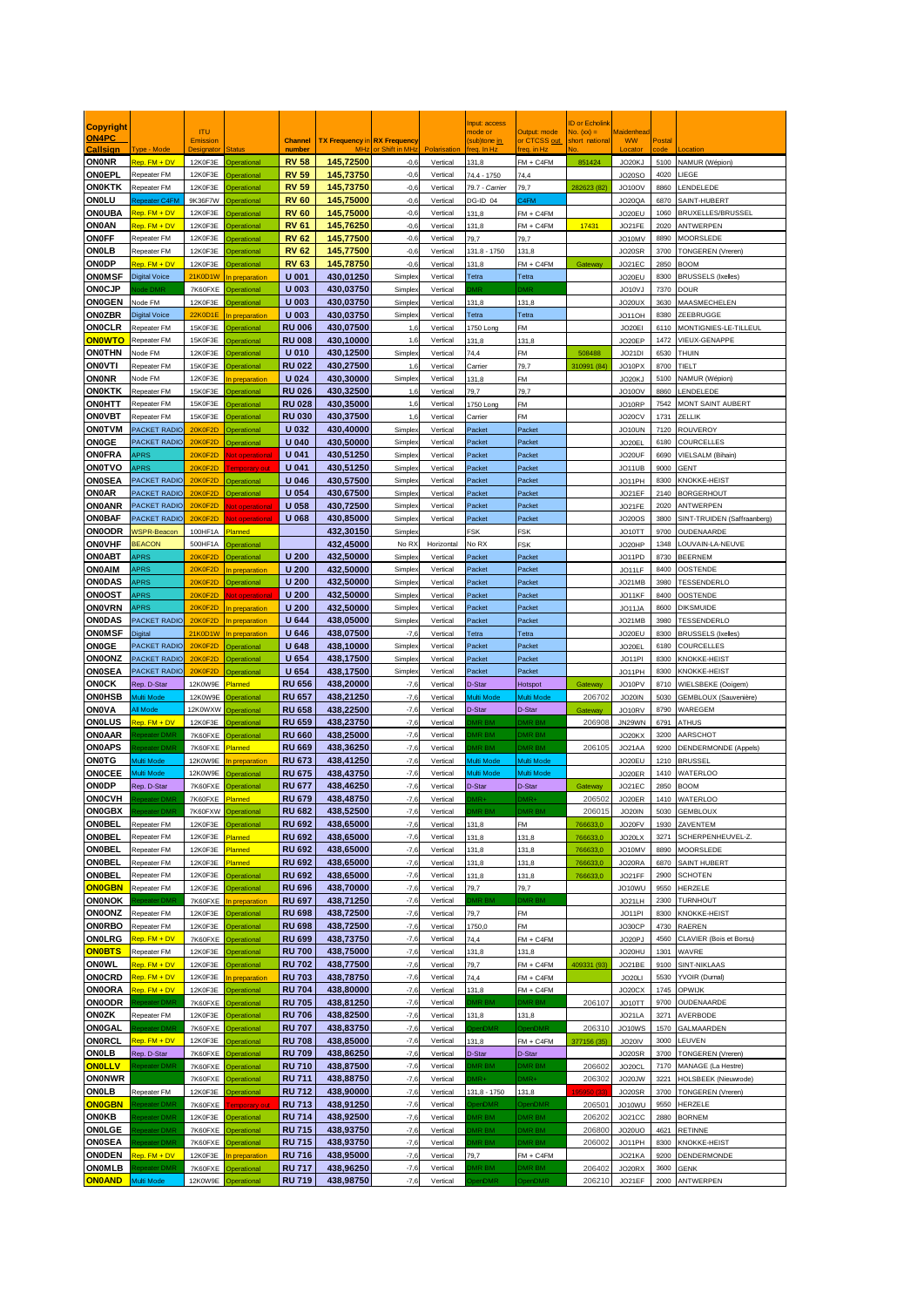| Copyright                      |                                      |                                  |                                           |                                      |                                     |                               |                      | nput: access                 |                                | D or Echolin                |                         |              |                                            |
|--------------------------------|--------------------------------------|----------------------------------|-------------------------------------------|--------------------------------------|-------------------------------------|-------------------------------|----------------------|------------------------------|--------------------------------|-----------------------------|-------------------------|--------------|--------------------------------------------|
| <b>ON4PC</b>                   |                                      | <b>ITU</b><br>Emission           |                                           | <b>Channel</b>                       | <b>TX Frequency in RX Frequency</b> |                               |                      | node or<br>(sub)tone in      | Output: mode<br>or CTCSS out   | Vo. (xx) =<br>short nationa | Maidenhea<br><b>WW</b>  | Postal       |                                            |
| Callsion                       | <b>Type - Mode</b>                   |                                  |                                           | numbe                                | <b>MH</b><br>145.72500              | or Shift in MH                | Polarisation         | rea. In Ha                   | rea, in Ha                     |                             | ocato                   |              |                                            |
| <b>ON0NR</b><br>ONOEPL         | Rep. FM + DV<br>Repeater FM          | 12K0F3E<br>12K0F3E               | <b>Operational</b><br><b>Operational</b>  | <b>RV 58</b><br><b>RV 59</b>         | 145,73750                           | $-0,6$<br>$-0,6$              | Vertical<br>Vertical | 131,8<br>74.4 - 1750         | $FM + C4FM$<br>74.4            | 851424                      | JO20KJ<br><b>JO20SO</b> | 5100<br>4020 | NAMUR (Wépion)<br><b>IEGE</b>              |
| ON0KTK                         | Repeater FM                          | 12K0F3F                          | <b>Operational</b>                        | <b>RV 59</b>                         | 145,73750                           | $-0,6$                        | Vertical             | 79.7 - Carrier               | 79.7                           | 282623 (82                  | JO10OV                  | 8860         | ENDELEDE                                   |
| ONOLU                          | Repeater C4FM                        | 9K36F7W                          | <b>Derational</b>                         | <b>RV 60</b>                         | 145,75000                           | $-0,6$                        | Vertical             | DG-ID 04                     | 24FM                           |                             | JO20QA                  | 6870         | SAINT-HUBERT                               |
| ONOUBA<br>ON0AN                | Rep. FM + DV<br>Rep. FM + DV         | 12K0F3E<br>12K0F3E               | Dperational<br><b>Derational</b>          | <b>RV 60</b><br><b>RV 61</b>         | 145,75000<br>145,76250              | $-0,6$<br>$-0,6$              | Vertical<br>Vertical | 131,8<br>131.8               | $FM + C4FM$<br>$FM + C4FM$     | 17431                       | JO20EU<br>JO21FE        | 1060<br>2020 | BRUXELLES/BRUSSEL<br>ANTWERPEN             |
| ONOFF                          | Repeater FM                          | 12K0F3E                          | Doerational                               | <b>RV 62</b>                         | 145,77500                           | $-0,6$                        | Vertical             | 79,7                         | 79,7                           |                             | JO10MV                  | 8890         | <b>MOORSLEDE</b>                           |
| ONOLB                          | Repeater FM                          | 12K0F3E                          | <b>Operational</b>                        | <b>RV 62</b>                         | 145,77500                           | $-0,6$                        | Vertical             | 131.8 - 1750                 | 131.8                          |                             | JO20SR                  | 3700         | TONGEREN (Vreren)                          |
| <b>ONODP</b><br><b>ONOMSF</b>  | Rep. FM + DV<br><b>Digital Voice</b> | 12K0F3E<br>21K0D1W               | perational<br><b>preparation</b>          | <b>RV 63</b><br><b>U</b> 001         | 145.78750<br>430,01250              | $-0,6$<br><b>Simple</b>       | Vertical<br>Vertical | 131.8<br>Tetra               | $FM + C4FM$<br>Tetra           | Gateway                     | JO21EC<br>JO20EU        | 2850<br>8300 | <b>BOOM</b><br><b>BRUSSELS (Ixelles)</b>   |
| <b>ONOCJP</b>                  | ode DMR                              | 7K60FXE                          | <b>Inerational</b>                        | U 003                                | 430,03750                           | Simple:                       | Vertical             | MF                           | <b>DMF</b>                     |                             | JO10VJ                  | 7370         | DOUR                                       |
| <b>ON0GEN</b>                  | Node FM                              | 12K0F3E                          | <b>Operational</b>                        | U 003                                | 430,03750                           | Simple:                       | Vertical             | 131,8                        | 131,8                          |                             | JO20UX                  | 3630         | MAASMECHELEN                               |
| <b>ON0ZBR</b><br><b>ONOCLR</b> | <b>Digital Voice</b><br>Repeater FM  | <b>22K0D1E</b>                   | n preparation<br><b>Operational</b>       | U 003<br><b>RU 006</b>               | 430.03750<br>430,07500              | Simple:                       | Vertical             | Tetra                        | Tetra<br>FM                    |                             | JO11OH                  | 8380<br>6110 | ZEEBRUGGE<br>MONTIGNIES-LE-TILLEUL         |
| <b>ONOWTO</b>                  | Repeater FM                          | 15K0F3E<br>15K0F3E               | <b>Operational</b>                        | <b>RU 008</b>                        | 430,10000                           | 1,6<br>1,6                    | Vertical<br>Vertical | 1750 Long<br>131,8           | 131,8                          |                             | JO20EI<br>JO20EP        | 1472         | <b>/IEUX-GENAPPE</b>                       |
| ONOTHN                         | Node FM                              | 12K0F3E                          | <b>Operational</b>                        | <b>U010</b>                          | 430,12500                           | Simple:                       | Vertical             | 74,4                         | FM                             | 508488                      | JO21DI                  | 6530         | THUIN                                      |
| <b>ONOVTI</b><br><b>ON0NR</b>  | Repeater FM<br>Node FM               | 15K0F3E<br>12K0F3E               | <b>Operational</b><br><b>preparation</b>  | <b>RU 022</b><br>U 024               | 430,27500                           | 1,6                           | Vertical             | Carrier                      | 79,7                           | 310991 (84)                 | JO10PX                  | 8700<br>5100 | TIELT                                      |
| <b>ON0KTK</b>                  | Repeater FM                          | 15K0F3E                          | <b>Operational</b>                        | <b>RU 026</b>                        | 430,30000<br>430,32500              | <b>Simple</b><br>1,6          | Vertical<br>Vertical | 131.8<br>79,7                | FM<br>79,7                     |                             | JO20KJ<br>JO10OV        | 8860         | <b>VAMUR (Wépion)</b><br>ENDELEDE          |
| ON0HTT                         | Repeater FM                          | 15K0F3E                          | Doerational                               | <b>RU 028</b>                        | 430,35000                           | 1,6                           | Vertical             | 1750 Long                    | FM                             |                             | JO10RP                  | 7542         | MONT SAINT AUBERT                          |
| ON0VBT<br><b>ON0TVM</b>        | Repeater FM                          | 15K0F3E<br><b>20K0F2D</b>        | <b>Operational</b>                        | <b>RU 030</b>                        | 430,37500                           | 1,6                           | Vertical             | Carrier                      | FM                             |                             | JO20CV                  | 1731         | ZELLIK                                     |
| <b>ON0GE</b>                   | <b>PACKET RADIC</b><br>PACKET RADIO  | <b>20K0F2D</b>                   | <b>Operational</b><br><b>Operational</b>  | U 032<br>$U$ 040                     | 430,40000<br>430,50000              | Simple:<br>Simple)            | Vertical<br>Vertical | Packet<br>Packet             | Packet<br>Packet               |                             | JO10UN<br>JO20EL        | 7120<br>6180 | ROUVEROY<br>COURCELLES                     |
| <b>ON0FRA</b>                  | APRS                                 | <b>20K0F2D</b>                   | ot operationa                             | <b>U 041</b>                         | 430,51250                           | <b>Simple</b>                 | Vertical             | Packet                       | Packet                         |                             | JO20UF                  | 6690         | VIELSALM (Bihain)                          |
| ON0TVO                         | APRS                                 | <b>20K0F2D</b><br><b>20K0F2D</b> | emporary out                              | <b>U041</b>                          | 430,51250<br>430,57500              | Simple:                       | Vertical             | Packet                       | Packet                         |                             | JO11UB                  | 9000         | <b>GENT</b>                                |
| <b>ON0SEA</b><br><b>ON0AR</b>  | <b>PACKET RADIO</b><br>PACKET RADIO  | <b>20K0F2D</b>                   | <b>Operational</b><br>Doerational         | U 046<br>U 054                       | 430,67500                           | Simple:<br>Simple:            | Vertical<br>Vertical | Packet<br>Packet             | Packet<br>Packet               |                             | JO11PH<br>JO21EF        | 8300<br>2140 | KNOKKE-HEIST<br>BORGERHOUT                 |
| ON0ANR                         | <b>PACKET RADIO</b>                  | <b>20K0F2D</b>                   | lot operational                           | U 058                                | 430,72500                           | Simple:                       | Vertical             | Packet                       | Packet                         |                             | JO21FE                  | 2020         | ANTWERPEN                                  |
| <b>ON0BAF</b>                  | <b>PACKET RADIO</b>                  | <b>20K0F2D</b>                   | <b>Int</b> operational                    | <b>U068</b>                          | 430,85000                           | <b>Simple</b>                 | Vertical             | Packet                       | Packet                         |                             | <b>JO20OS</b>           | 3800         | SINT-TRUIDEN (Saffraanberg)                |
| <b>ON0ODR</b><br>ONOVHF        | <b>NSPR-Beacon</b><br><b>BEACON</b>  | 100HF1A<br>500HF1A               | <b>lanned</b><br><b>perational</b>        |                                      | 432.30150<br>432,45000              | <b>Simple</b><br>No R)        | Horizontal           | FSK<br>No RX                 | FSK<br>FSK                     |                             | JO10TT<br>JO20HP        | 9700<br>1348 | OUDENAARDE<br>OUVAIN-LA-NEUVE              |
| ON0ABT                         | APRS                                 | 20K0F2D                          | Derational                                | U <sub>200</sub>                     | 432,50000                           | Simple:                       | Vertical             | Packet                       | Packet                         |                             | JO11PD                  | 8730         | <b>BEERNEM</b>                             |
| ONOAIM                         | APRS                                 | <b>20K0F2D</b>                   | n preparation                             | U <sub>200</sub>                     | 432,50000                           | <b>Simple</b>                 | Vertical             | Packet                       | Packet                         |                             | JO11LF                  | 8400         | OOSTENDE                                   |
| ONODAS<br>ON0OST               | APRS<br>APRS                         | <b>20K0F2D</b><br><b>20K0F2D</b> | <b>Operational</b><br>ot operationa       | U <sub>200</sub><br>U <sub>200</sub> | 432,50000<br>432,50000              | Simple:<br>Simple:            | Vertical<br>Vertical | Packet<br>Packet             | Packet<br>Packet               |                             | JO21MB<br>JO11KF        | 3980<br>8400 | TESSENDERLO<br>OOSTENDE                    |
| <b>ONOVRN</b>                  | <b>APRS</b>                          | <b>20K0F2D</b>                   | n preparation                             | U <sub>200</sub>                     | 432,50000                           | Simple:                       | Vertical             | Packet                       | Packet                         |                             | JO11JA                  | 8600         | <b>DIKSMUIDE</b>                           |
| ONODAS                         | <b>PACKET RADIO</b>                  | <b>20K0F2D</b>                   | n preparation                             | <b>U644</b>                          | 438,05000                           | <b>Simple</b>                 | Vertical             | Packet                       | Packet                         |                             | JO21MB                  | 3980         | TESSENDERLO                                |
| <b>ONOMSF</b><br><b>ON0GE</b>  | Digital<br><b>PACKET RADIO</b>       | 21K0D1W<br><b>20K0F2D</b>        | n preparation<br><b>Operational</b>       | U 646<br>U 648                       | 438,07500<br>438,10000              | $-7.6$<br>Simple <sub>x</sub> | Vertical<br>Vertical | Tetra<br>Packet              | Tetra<br>Packet                |                             | JO20EU<br>JO20EL        | 8300<br>6180 | <b>BRUSSELS (Ixelles)</b><br>COURCELLES    |
| ONOONZ                         | PACKET RADIC                         | <b>20K0F2D</b>                   | <b>Derational</b>                         | U 654                                | 438,17500                           | <b>Simple</b>                 | Vertical             | Packet                       | Packet                         |                             | JO11PI                  | 8300         | KNOKKE-HEIST                               |
| <b>ON0SEA</b><br><b>ON0CK</b>  | <b>PACKET RADIO</b><br>Rep. D-Star   | 20K0F2D<br>12K0W9E               | perational<br><b>Planned</b>              | U 654<br><b>RU 656</b>               | 438,17500<br>438,20000              | <b>Simple</b><br>$-7,6$       | Vertical<br>Vertical | Packet<br>D-Star             | Packet<br>Hotspot              | Gateway                     | JO11PH<br>JO10PV        | 8300<br>8710 | KNOKKE-HEIST<br>WIELSBEKE (Ooigem)         |
| ON0HSB                         | Multi Mode                           | 12K0W9E                          | Derational                                | <b>RU 657</b>                        | 438,21250                           | $-7,6$                        | Vertical             | <b>Aulti Mode</b>            | Multi Mode                     | 206702                      | JO20IN                  | 5030         | <b>GEMBLOUX (Sauvenière)</b>               |
| ONOVA                          | All Mode                             | 12K0WXW                          | <b>Derational</b>                         | <b>RU 658</b>                        | 438,22500                           | $-7,6$                        | Vertical             | D-Star                       | D-Star                         | Gateway                     | JO10RV                  | 8790         | WAREGEM                                    |
| ONOLUS<br><b>ON0AAR</b>        | Rep. FM + DV<br>epeater DMF          | 12K0F3E<br>7K60FXE               | <b>Operational</b><br><b>Operational</b>  | <b>RU 659</b><br><b>RU 660</b>       | 438,23750<br>438,25000              | $-7,6$<br>$-7,6$              | Vertical<br>Vertical | <b>MR BM</b><br><b>MR BM</b> | <b>DMR BN</b><br><b>DMR BM</b> | 206908                      | JN29WN<br>JO20KX        | 6791<br>3200 | ATHUS<br>AARSCHOT                          |
| <b>ON0APS</b>                  | epeater DMF                          | 7K60FXE                          | <b>lanned</b>                             | <b>RU 669</b>                        | 438,36250                           | $-7,6$                        | Vertical             | <b>MR BM</b>                 | <b>DMR BM</b>                  | 206105                      | JO21AA                  | 9200         | <b>DENDERMONDE</b> (Appels)                |
| ONOTG                          | Multi Mode                           | 12K0W9E                          | <b>preparation</b>                        | <b>RU 673</b>                        | 438,41250                           | $-7,6$                        | Vertical             | Multi Mode                   | Multi Mode                     |                             | JO20EU                  | 1210         | BRUSSEL                                    |
| ONOCEE<br>ONODP                | Multi Mode<br>Rep. D-Star            | 12K0W9E<br>7K60FXE               | <b>Operational</b><br><b>Operational</b>  | <b>RU 675</b><br><b>RU 677</b>       | 438,43750<br>438,46250              | $-7,6$<br>$-7,6$              | Vertical<br>Vertical | Multi Mode<br>D-Star         | <b>Aulti Mode</b><br>D-Star    | Gateway                     | JO20ER<br>JO21EC        | 1410<br>2850 | <b>NATERLOO</b><br>BOOM                    |
| <b>ON0CVH</b>                  | epeater DMF                          | 7K60FXE                          | <b>Planned</b>                            | <b>RU 679</b>                        | 438,48750                           | $-7,6$                        | Vertical             | MR.                          | <b>DMR-</b>                    | 206502                      | JO20ER                  | 1410         | WATERLOO                                   |
| <b>ON0GBX</b>                  |                                      | 7K60FXW                          | Operational                               | <b>RU 682</b>                        | 438,52500                           | $-7,6$                        | Vertical             |                              |                                | 206015                      | JO20IN                  | 5030         | <b>GEMBLOUX</b>                            |
| ONOBEL<br><b>ON0BEL</b>        | Repeater FM<br>Repeater FM           | 12K0F3E<br>12K0F3E               | <b>Operational</b><br>lanned              | <b>RU 692</b><br><b>RU 692</b>       | 438,65000<br>438,65000              | $-7,6$<br>$-7,6$              | Vertical<br>Vertical | 131,8<br>131,8               | FM<br>131,8                    | 766633,0<br>766633,0        | JO20FV<br>JO20LX        | 1930<br>3271 | ZAVENTEM<br>SCHERPENHEUVEL-Z.              |
| ON0BEL                         | Repeater FM                          | 12K0F3E                          | lanned                                    | <b>RU 692</b>                        | 438,65000                           | $-7,6$                        | Vertical             | 131,8                        | 131,8                          | 766633,0                    | JO10MV                  | 8890         | MOORSLEDE                                  |
| ON0BEL                         | Repeater FM                          | 12K0F3E                          | lanned                                    | <b>RU 692</b>                        | 438,65000                           | $-7,6$                        | Vertical             | 131,8                        | 131,8                          | 766633,0                    | JO20RA                  | 6870         | SAINT HUBERT                               |
| ONOBEL<br><b>ON0GBN</b>        | Repeater FM<br>Repeater FM           | 12K0F3E<br>12K0F3E               | <b>Operational</b><br><b>Operational</b>  | <b>RU 692</b><br><b>RU 696</b>       | 438,65000<br>438,70000              | $-7,6$<br>$-7,6$              | Vertical<br>Vertical | 131,8<br>79,7                | 131,8<br>79,7                  | 766633,0                    | JO21FF<br>JO10WU        | 2900<br>9550 | SCHOTEN<br>HERZELE                         |
| <b>ON0NOK</b>                  | <b>Eneater DMF</b>                   | 7K60FXE                          | n preparation                             | <b>RU 697</b>                        | 438,71250                           | $-7,6$                        | Vertical             | MR BM                        | DMR BM                         |                             | JO21LH                  | 2300         | TURNHOUT                                   |
| <b>ON0ONZ</b><br>ON0RBO        | Repeater FM<br>Repeater FM           | 12K0F3E                          | Doerational                               | <b>RU 698</b><br><b>RU 698</b>       | 438,72500<br>438,72500              | $-7,6$                        | Vertical             | 79,7                         | FM                             |                             | JO11PI                  | 8300         | KNOKKE-HEIST                               |
| ONOLRG                         | Rep. FM + DV                         | 12K0F3E<br>7K60FXE               | <b>Operational</b><br><b>Operational</b>  | <b>RU 699</b>                        | 438,73750                           | $-7,6$<br>$-7,6$              | Vertical<br>Vertical | 1750,0<br>74,4               | FM<br>$FM + C4FM$              |                             | JO30CP<br>JO20PJ        | 4730<br>4560 | RAEREN<br>CLAVIER (Bois et Borsu)          |
| <b>ON0BTS</b>                  | Repeater FM                          | 12K0F3E                          | berational                                | <b>RU700</b>                         | 438,75000                           | $-7,6$                        | Vertical             | 131,8                        | 131,8                          |                             | JO20HU                  | 1301         | WAVRE                                      |
| <b>ONOWL</b><br>ONOCRD         | Rep. FM + DV<br>Rep. FM + DV         | 12K0F3E<br>12K0F3E               | <b>Operational</b><br>n preparation       | <b>RU702</b><br><b>RU 703</b>        | 438,77500<br>438,78750              | $-7,6$<br>$-7,6$              | Vertical<br>Vertical | 79,7                         | $FM + C4FM$<br>$FM + C4FM$     | 409331 (93)                 | JO21BE<br>JO20LI        | 9100<br>5530 | SINT-NIKLAAS<br>YVOIR (Durnal)             |
| <b>ONOORA</b>                  | Rep. FM + DV                         | 12K0F3E                          | <b>Operational</b>                        | <b>RU 704</b>                        | 438,80000                           | $-7,6$                        | Vertical             | 74,4<br>131,8                | $FM + C4FM$                    |                             | JO20CX                  | 1745         | <b>OPWIJK</b>                              |
| <b>ONOODR</b>                  | epeater DMR                          | 7K60FXE                          | <b>Operational</b>                        | <b>RU 705</b>                        | 438,81250                           | $-7,6$                        | Vertical             | <b>DMR BM</b>                | <b>DMR BM</b>                  | 206107                      | JO10TT                  | 9700         | OUDENAARDE                                 |
| <b>ON0ZK</b><br>ON0GAL         | Repeater FM                          | 12K0F3E                          | <b>Operational</b>                        | <b>RU706</b><br><b>RU 707</b>        | 438,82500<br>438,83750              | $-7,6$                        | Vertical             | 131,8                        | 131,8                          |                             | JO21LA                  | 3271         | AVERBODE                                   |
| ON0RCL                         | Repeater DMR<br>Rep. FM + DV         | 7K60FXE<br>12K0F3E               | <b>Operational</b><br><b>Operational</b>  | <b>RU708</b>                         | 438,85000                           | $-7,6$<br>$-7,6$              | Vertical<br>Vertical | DpenDMR<br>131,8             | OpenDMR<br>$FM + C4FM$         | 206310<br>377156 (35)       | JO10WS<br>JO20IV        | 1570<br>3000 | GALMAARDEN<br><b>EUVEN</b>                 |
| ONOLB                          | Rep. D-Star                          | 7K60FXE                          | <b>Operational</b>                        | <b>RU 709</b>                        | 438,86250                           | $-7,6$                        | Vertical             | D-Star                       | D-Star                         |                             | JO20SR                  | 3700         | <b>TONGEREN</b> (Vreren)                   |
| <b>ONOLLV</b><br><b>ON0NWR</b> | <b>Repeater DMR</b>                  | 7K60FXE<br>7K60FXE               | <b>Operational</b><br>Dperational         | <b>RU710</b><br><b>RU711</b>         | 438,87500<br>438,88750              | $-7,6$<br>$-7,6$              | Vertical<br>Vertical | MR BM<br>$MN +$              | DMR BM<br>DMR+                 | 206602<br>206302            | JO20CL<br>JO20JW        | 7170<br>3221 | MANAGE (La Hestre)<br>HOLSBEEK (Nieuwrode) |
| ONOLB                          | Repeater FM                          | 12K0F3E                          | <b>Operational</b>                        | <b>RU712</b>                         | 438,90000                           | $-7,6$                        | Vertical             | 131,8 - 1750                 | 131,8                          | 95950 (33)                  | JO20SR                  | 3700         | TONGEREN (Vreren)                          |
| <b>ON0GBN</b>                  | lepeater DMR                         | 7K60FXE                          | emporary out                              | <b>RU713</b>                         | 438,91250                           | $-7,6$                        | Vertical             | penDMR                       | OpenDMR                        | 206501                      | JO10WU                  | 9550         | HERZELE                                    |
| ON0KB<br>ONOLGE                | Repeater DMR<br>tepeater DMR         | 12K0F3E<br>7K60FXE               | Operational<br><b>Operational</b>         | <b>RU714</b><br><b>RU715</b>         | 438,92500<br>438,93750              | $-7,6$<br>$-7,6$              | Vertical<br>Vertical | MR BM<br><b>MR BM</b>        | DMR BM<br><b>DMR BM</b>        | 206202<br>206800            | JO21CC<br><b>JO20UO</b> | 2880<br>4621 | <b>BORNEM</b><br>RETINNE                   |
| <b>ON0SEA</b>                  | Repeater DMR                         | 7K60FXE                          | <b>Operational</b>                        | <b>RU715</b>                         | 438,93750                           | $-7,6$                        | Vertical             | <b>MRBM</b>                  | <b>DMR BM</b>                  | 206002                      | JO11PH                  | 8300         | KNOKKE-HEIST                               |
| <b>ONODEN</b>                  | Rep. FM + DV                         | 12K0F3E                          | preparation                               | <b>RU716</b>                         | 438,95000                           | $-7,6$                        | Vertical             | 79,7                         | $FM + C4FM$                    |                             | JO21KA                  | 9200         | DENDERMONDE                                |
| ONOMLB<br><b>ON0AND</b>        | epeater DMR<br>Multi Mode            | 7K60FXE                          | <b>Operational</b><br>12K0W9E Operational | <b>RU717</b><br><b>RU719</b>         | 438,96250<br>438,98750              | $-7,6$<br>$-7,6$              | Vertical<br>Vertical | <b>DMR BM</b><br>penDMR      | <b>DMR BM</b><br>OpenDMR       | 206402<br>206210            | JO20RX<br>JO21EF        | 3600<br>2000 | GENK<br>ANTWERPEN                          |
|                                |                                      |                                  |                                           |                                      |                                     |                               |                      |                              |                                |                             |                         |              |                                            |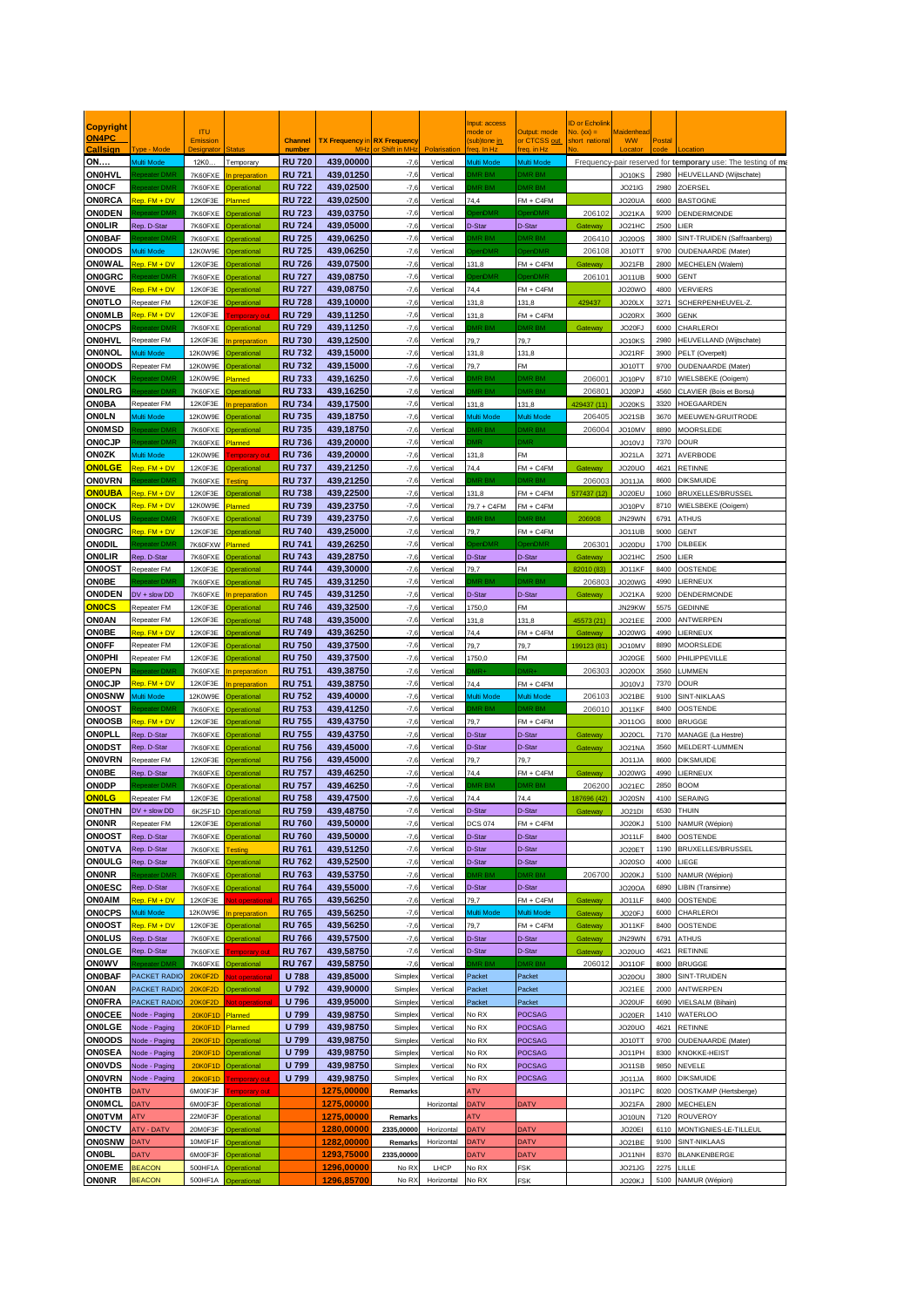| <b>Copyright</b><br>ON4PC           |                                | <b>ITU</b>         |                                          |                                |                                     |                          |                      | nput: access<br>node or  | utput: mode                      | D or Echolink<br>$\log(x) =$ | <b>Aaidenhea</b>        |              |                                                              |
|-------------------------------------|--------------------------------|--------------------|------------------------------------------|--------------------------------|-------------------------------------|--------------------------|----------------------|--------------------------|----------------------------------|------------------------------|-------------------------|--------------|--------------------------------------------------------------|
| allsian                             | vne - Mode                     | <b>Emission</b>    |                                          | <b>Channel</b><br>numbe        | <b>TX Frequency in RX Frequency</b> |                          |                      | sub)tone in              | CTCSS out<br>$a$ . in Hz         | hort nationa                 | <b>WW</b>               | osta         |                                                              |
| <b>ON</b>                           | Multi Mode                     | 12K0               | Temporary                                | <b>RU720</b>                   | 439,00000                           | $-7.6$                   | Vertical             | Multi Mode               | Multi Mode                       |                              |                         |              | Frequency-pair reserved for temporary use: The testing of ma |
| <b>ON0HVL</b>                       | beater DMI                     | 7K60FXE            | preparatio                               | <b>RU721</b>                   | 439,01250                           | $-7,6$                   | Vertical             | R BM                     | MR BM                            |                              | JO10KS                  | 2980         | HEUVELLAND (Wijtschate)                                      |
| <b>ON0CF</b>                        | eater DMI                      | 7K60FXE            | erationa                                 | <b>RU 722</b>                  | 439,02500<br>439.02500              | $-7,6$                   | Vertical             | <b>IR RM</b>             | <b>MR BM</b>                     |                              | <b>JO21IG</b>           | 2980         | ZOERSEL                                                      |
| <b>ONORCA</b><br><b>ONODEN</b>      | ep. FM + DV<br>eater DM        | 12K0F3E<br>7K60FXE | lanned<br><b>Operational</b>             | <b>RU 722</b><br><b>RU 723</b> | 439,03750                           | $-7,6$<br>$-7,6$         | Vertical<br>Vertical | 74,4<br><b>MOMF</b>      | $FM + C4FM$<br>enDMR             | 206102                       | JO20UA<br>JO21KA        | 6600         | <b>BASTOGNE</b><br>9200 DENDERMONDE                          |
| <b>ONOLIR</b>                       | Rep. D-Star                    | 7K60FXE            | perational                               | <b>RU 724</b>                  | 439,05000                           | $-7,6$                   | Vertical             | D-Star                   | D-Star                           | Gateway                      | JO21HC                  | 2500         | <b>LIER</b>                                                  |
| <b>ON0BAF</b>                       | eater DN                       | 7K60FXE            | Operationa                               | <b>RU 725</b>                  | 439,06250                           | $-7,6$                   | Vertical             | <b>IR BM</b>             | MR BM                            | 20641                        | <b>JO20OS</b>           | 3800         | SINT-TRUIDEN (Saffraanberg)                                  |
| <b>ON0ODS</b>                       | lulti Mode                     | 12K0W9E            | perational                               | <b>RU 725</b>                  | 439,06250                           | $-7,6$                   | Vertical             | enDMF                    | enDMR                            | 20610                        | JO10TT                  | 9700         | <b>OUDENAARDE</b> (Mater)                                    |
| ONOWAL                              | $BD. FM + DV$                  | 12K0F3E            | perational                               | <b>RU 726</b>                  | 439,07500                           | $-7,6$                   | Vertical             | 131.8                    | $FM + C4FM$                      | Gateway                      | JO21FB                  |              | 2800 MECHELEN (Walem)                                        |
| <b>ON0GRC</b>                       | eater DM<br>$en. FM + DV$      | 7K60FXE<br>12K0F3E | perational                               | <b>RU 727</b>                  | 439,08750                           | $-7,6$                   | Vertical             | 744                      | <b>InDMF</b>                     | 206101                       | JO11UB                  | 9000<br>4800 | <b>GENT</b><br><b>VERVIERS</b>                               |
| <b>ONOVE</b><br><b>ONOTLO</b>       | Repeater FM                    | 12K0F3E            | erationa<br><b>Operational</b>           | <b>RU 727</b><br><b>RU728</b>  | 439,08750<br>439,10000              | $-7,6$<br>$-7,6$         | Vertical<br>Vertical | 131,8                    | $FM + C4FM$<br>131,8             | 429437                       | JO20WC<br>JO20LX        | 3271         | SCHERPENHEUVEL-Z.                                            |
| ONOMLB                              | ep. FM + DV                    | 12K0F3E            | nporary                                  | <b>RU729</b>                   | 439,11250                           | $-7,6$                   | Vertical             | 131.8                    | $FM + C4FM$                      |                              | JO20RX                  | 3600         | <b>GENK</b>                                                  |
| <b>ONOCPS</b>                       | ater DM                        | 7K60FXE            | perational                               | <b>RU 729</b>                  | 439,11250                           | $-7,6$                   | Vertical             | <b>JR RM</b>             | <b>MR RM</b>                     | Gateway                      | JO20FJ                  | 6000         | CHARLEROI                                                    |
| <b>ON0HVL</b>                       | Repeater FM                    | 12K0F3E            | n preparation                            | <b>RU 730</b>                  | 439,12500                           | $-7,6$                   | Vertical             | 79.7                     | 79.7                             |                              | JO10KS                  | 2980         | HEUVELLAND (Wijtschate)                                      |
| <b>ON0NOL</b>                       | <b>Aulti Mode</b>              | 12K0W9E            | berational                               | <b>RU 732</b>                  | 439,15000                           | $-7,6$                   | Vertical             | 131,8                    | 131,8                            |                              | JO21RF                  |              | 3900 PELT (Overpelt)                                         |
| <b>ON0ODS</b>                       | Repeater FM                    | 12K0W9E            | berational                               | <b>RU 732</b><br><b>RU 733</b> | 439,15000                           | $-7,6$<br>$-7,6$         | Vertical             | 79.7<br><b>IR RM</b>     | FM<br>MR BM                      |                              | JO10TT                  | 9700<br>8710 | <b>OUDENAARDE</b> (Mater)<br>WIELSBEKE (Ooigem)              |
| <b>ON0CK</b><br><b>ON0LRG</b>       | eater DN<br>eater DN           | 12K0W9E<br>7K60FXE | lanned<br>erationa                       | <b>RU 733</b>                  | 439,16250<br>439,16250              | $-7,6$                   | Vertical<br>Vertical | <b>IR BM</b>             | MR BM                            | 20600<br>20680               | JO10PV<br>JO20PJ        | 4560         | CLAVIER (Bois et Borsu)                                      |
| <b>ON0BA</b>                        | Repeater FM                    | 12K0F3E            | preparatio                               | <b>RU 734</b>                  | 439,17500                           | $-7,6$                   | Vertical             | 131.8                    | 131,8                            | 29437 (1                     | JO20KS                  |              | 3320 HOEGAARDEN                                              |
| <b>ON0LN</b>                        | <b>Iulti Mode</b>              | 12K0W9E            | perational                               | <b>RU 735</b>                  | 439,18750                           | $-7,6$                   | Vertical             | <b><i>Aulti Mode</i></b> | <b>Aulti Mode</b>                | 20640                        | <b>JO21SB</b>           | 3670         | MEEUWEN-GRUITRODE                                            |
| <b>ON0MSD</b>                       | eater DM                       | 7K60FXE            | perationa                                | <b>RU 735</b>                  | 439,18750                           | $-7,6$                   | Vertical             | <b>IR RM</b>             | MR BM                            | 20600                        | JO10MV                  | 8890         | <b>MOORSLEDE</b>                                             |
| <b>ONOCJP</b>                       | eater DM                       | 7K60FXE            | <b>Planned</b>                           | <b>RU 736</b>                  | 439.20000                           | $-7,6$                   | Vertical             |                          | MR                               |                              | JO10VJ                  |              | 7370 DOUR                                                    |
| <b>ON0ZK</b>                        | lulti Mode                     | 12K0W9E            | norar                                    | <b>RU736</b>                   | 439,20000                           | $-7,6$                   | Vertical             | 131.8                    | <b>FM</b>                        |                              | JO21LA                  |              | 3271 AVERBODE                                                |
| <b>ON0LGE</b><br><b>ON0VRN</b>      | ep. FM + DV<br>ater DN         | 12K0F3E<br>7K60FXE | perational<br>nation                     | <b>RU 737</b><br><b>RU 737</b> | 439,21250<br>439,21250              | $-7,6$<br>$-7,6$         | Vertical<br>Vertical | 74.4<br><b>JR RM</b>     | $FM + C4FM$<br>MR RM             | Gateway<br>206003            | <b>JO20UO</b><br>JO11JA | 4621<br>8600 | <b>RETINNE</b><br><b>DIKSMUIDE</b>                           |
| <b>ONOUBA</b>                       | tep. FM + DV                   | 12K0F3E            | perational                               | <b>RU 738</b>                  | 439,22500                           | $-7,6$                   | Vertical             | 131.8                    | $FM + C4FM$                      | 577437 (1)                   | JO20EU                  |              | 1060 BRUXELLES/BRUSSEL                                       |
| <b>ONOCK</b>                        | $BD. FM + DV$                  | 12K0W9E            | <b>lanned</b>                            | <b>RU 739</b>                  | 439,23750                           | $-7,6$                   | Vertical             | 79.7 + C4FM              | $FM + C4FM$                      |                              | JO10PV                  | 8710         | WIELSBEKE (Ooigem)                                           |
| <b>ON0LUS</b>                       | eater DMI                      | 7K60FXE            | perationa                                | <b>RU 739</b>                  | 439,23750                           | $-7,6$                   | Vertical             |                          | <b>JR BM</b>                     | 206908                       | JN29WN                  | 6791         | <b>ATHUS</b>                                                 |
| <b>ON0GRC</b>                       | ep. FM + DV                    | 12K0F3E            | nerationa                                | <b>RU740</b>                   | 439,25000                           | $-7,6$                   | Vertical             | 79.7                     | $FM + C4FM$                      |                              | JO11UB                  | 9000         | <b>GENT</b>                                                  |
| ONODIL                              | ater DM                        | 7K60FXW            | Planned                                  | <b>RU 741</b>                  | 439,26250                           | $-7,6$                   | Vertical             | <b>MOMF</b>              | <b>nDMR</b>                      | 20630                        | JO20DU                  | 1700         | <b>DILBEEK</b>                                               |
| <b>ONOLIR</b>                       | Rep. D-Star                    | 7K60FXE            | perationa                                | <b>RU 743</b>                  | 439,28750                           | $-7,6$                   | Vertical             | D-Star                   | D-Star                           | <b>Gateway</b>               | JO21HC                  | 2500         | LIER                                                         |
| <b>ON0OST</b><br><b>ON0BE</b>       | Repeater FM<br>ater DM         | 12K0F3E<br>7K60FXE | erationa<br>perational                   | <b>RU 744</b><br><b>RU 745</b> | 439,30000<br>439,31250              | $-7,6$<br>$-7,6$         | Vertical<br>Vertical | 79.7<br><b>AR BM</b>     | <b>FM</b><br>MR BM               | 82010 (83<br>20680           | JO11KF<br>JO20WG        | 8400<br>4990 | OOSTENDE<br>LIERNEUX                                         |
| <b>ONODEN</b>                       | DV + slow DD                   | 7K60FXE            | n preparatio                             | <b>RU 745</b>                  | 439,31250                           | $-7,6$                   | Vertical             | D-Star                   | D-Star                           | <b>Gateway</b>               | JO21KA                  |              | 9200 DENDERMONDE                                             |
| <b>ONOCS</b>                        | Repeater FM                    | 12K0F3E            | perational                               | <b>RU 746</b>                  | 439,32500                           | $-7,6$                   | Vertical             | 1750,0                   | FM                               |                              | JN29KW                  | 5575         | <b>GEDINNE</b>                                               |
| ON0AN                               | Repeater FM                    | 12K0F3E            | <b>Operational</b>                       | <b>RU748</b>                   | 439,35000                           | $-7,6$                   | Vertical             | 131.8                    | 131.8                            | 45573 (21)                   | JO21EE                  | 2000         | ANTWERPEN                                                    |
| <b>ON0BE</b>                        | ep. FM + DV                    | 12K0F3E            | perational                               | <b>RU 749</b>                  | 439,36250                           | $-7,6$                   | Vertical             | 74,4                     | $FM + C4FM$                      | Gateway                      | JO20WG                  | 4990         | LIERNEUX                                                     |
| <b>ON0FF</b>                        | Repeater FM                    | 12K0F3E            | berational                               | <b>RU 750</b>                  | 439,37500                           | $-7,6$                   | Vertical             | 79.7                     | 79.7                             | 99123 (81                    | JO10MV                  | 8890         | <b>MOORSLEDE</b>                                             |
| <b>ONOPHI</b>                       | Repeater FM                    | 12K0F3E            | erational                                | <b>RU 750</b>                  | 439,37500                           | $-7,6$                   | Vertical             | 1750,0                   | FM                               |                              | JO20GE                  | 5600         | PHILIPPEVILLE                                                |
| <b>ON0EPN</b>                       | ater DN<br>ep. FM + DV         | 7K60FXE<br>12K0F3E | preparatio                               | <b>RU 751</b>                  | 439,38750                           | $-7,6$                   | Vertical             | 744                      |                                  | 20630                        | JO20OX                  | 3560         | LUMMEN                                                       |
| <b>ONOCJP</b><br><b>ON0SNW</b>      | <b>Iulti Mode</b>              | 12K0W9E            | preparation<br>perational                | <b>RU 751</b><br><b>RU 752</b> | 439,38750<br>439,40000              | $-7,6$<br>$-7,6$         | Vertical<br>Vertical | <b>Aulti Mode</b>        | $FM + C4FM$<br><b>Aulti Mode</b> | 20610                        | JO10VJ<br>JO21BE        | 9100         | 7370 DOUR<br>SINT-NIKLAAS                                    |
| <b>ON0OST</b>                       | ater DM                        | 7K60FXE            | nerationa                                | <b>RU 753</b>                  | 439,41250                           | $-7,6$                   | Vertical             | <b>AD RM</b>             | MR RM                            | 20601                        | JO11KF                  | 8400         | OOSTENDE                                                     |
| <b>ON0OSB</b>                       | ep. FM + DV                    | 12K0F3E            | <b>Operational</b>                       | <b>RU 755</b>                  | 439,43750                           | $-7,6$                   | Vertical             | 79,7                     | $FM + C4FM$                      |                              | <b>JO11OG</b>           | 8000         | <b>BRUGGE</b>                                                |
| ONOPLL                              | Rep. D-Star                    | 7K60FXE            | <b>Operational</b>                       | <b>RU 755</b>                  | 439,43750                           | $-7,6$                   | Vertical             | D-Star                   | D-Star                           | Gateway                      | JO20CL                  |              | 7170 MANAGE (La Hestre)                                      |
| <b>ONODST</b>                       | Rep. D-Star                    | 7K60FXE            | perational                               | <b>RU 756</b>                  | 439,45000                           | $-7,6$                   | Vertical             | D-Star                   | D-Star                           | Gateway                      | JO21NA                  | 3560         | MELDERT-LUMMEN                                               |
| <b>ON0VRN</b>                       | Repeater FM                    | 12K0F3E            | perationa                                | <b>RU 756</b>                  | 439,45000                           | $-7,6$                   | Vertical             | 797                      | 79.7                             |                              | JO11JA                  | 8600         | <b>DIKSMUIDE</b>                                             |
| <b>ON0BE</b>                        | Rep. D-Star                    | 7K60FXE            | perational                               | <b>RU 757</b>                  | 439,46250                           | $-7,6$                   | Vertical             | 74.4                     | $FM + C4FM$                      | Gateway                      | JO20WG                  | 4990         | LIERNEUX                                                     |
| ONODP                               | eater DN                       | 7K60FXE            | perationa                                | <b>RU 757</b>                  | 439,46250                           | $-7,6$                   | Vertical             | <b>JR RM</b>             | <b>MR BM</b>                     | 20620                        | JO21EC                  | 2850         | MOOE                                                         |
| <b>ONOLG</b>                        | Repeater FM                    | 12K0F3E            | <b>Operational</b>                       | <b>RU 758</b>                  | 439,47500                           | $-7,6$                   | Vertical             | 74,4                     | 74,4                             | 87696 (42                    | JO20SN                  | 4100         | <b>SERAING</b>                                               |
| ONOTHN DV + slow DD<br><b>ONONR</b> | Repeater FM                    | 6K25F1D<br>12K0F3E | <b>Operational</b><br><b>Operational</b> | <b>RU759</b><br><b>RU 760</b>  | 439,48750<br>439,50000              | $-7.6$                   | Vertical<br>Vertical | D-Star<br><b>DCS 074</b> | D-Star<br>$FM + C4FM$            | Gateway                      | JO21DI<br>JO20KJ        |              | 6530 THUIN                                                   |
| <b>ON0OST</b>                       | Rep. D-Star                    | 7K60FXE            | Operational                              | <b>RU760</b>                   | 439,50000                           | $-7,6$<br>$-7,6$         | Vertical             | D-Star                   | D-Star                           |                              | JO11LF                  |              | 5100 NAMUR (Wépion)<br>8400 OOSTENDE                         |
| <b>ON0TVA</b>                       | Rep. D-Star                    | 7K60FXE            | estina                                   | <b>RU 761</b>                  | 439,51250                           | $-7,6$                   | Vertical             | D-Star                   | D-Star                           |                              | JO20ET                  |              | 1190 BRUXELLES/BRUSSEL                                       |
| <b>ONOULG</b> Rep. D-Star           |                                | 7K60FXE            | <b>Operational</b>                       | <b>RU762</b>                   | 439,52500                           | $-7,6$                   | Vertical             | D-Star                   | D-Star                           |                              | <b>JO20SO</b>           |              | 4000 LIEGE                                                   |
| <b>ONONR</b>                        | peater DM                      | 7K60FXE            | <b>Operational</b>                       | <b>RU 763</b>                  | 439,53750                           | $-7,6$                   | Vertical             | <b>AR BM</b>             | MR BM                            | 206700                       | JO20KJ                  |              | 5100 NAMUR (Wépion)                                          |
| <b>ON0ESC</b>                       | Rep. D-Star                    | 7K60FXE            | perational                               | <b>RU 764</b>                  | 439,55000                           | $-7,6$                   | Vertical             | D-Star                   | D-Star                           |                              | <b>JO20OA</b>           | 6890         | LIBIN (Transinne)                                            |
| <b>ON0AIM</b>                       | <b>Rep.</b> FM + DV            | 12K0F3E            | t operati                                | <b>RU 765</b>                  | 439,56250                           | $-7,6$                   | Vertical             | 79,7                     | $FM + C4FM$                      | Gateway                      | JO11LF                  |              | 8400 OOSTENDE                                                |
| <b>ONOCPS</b>                       | Multi Mode                     | 12K0W9E            | preparatio                               | <b>RU 765</b>                  | 439,56250                           | $-7,6$                   | Vertical             | Multi Mode               | Multi Mode                       | Gateway                      | JO20FJ                  |              | 6000 CHARLEROI                                               |
| <b>ON0OST</b>                       | Rep. FM + DV                   | 12K0F3E            | <b>Operational</b>                       | <b>RU 765</b>                  | 439,56250                           | $-7,6$                   | Vertical             | 79.7                     | $FM + C4FM$                      | Gateway                      | JO11KF                  |              | 8400 OOSTENDE                                                |
| <b>ONOLUS</b>                       | Rep. D-Star                    | 7K60FXE            | Operational                              | <b>RU 766</b>                  | 439,57500                           | $-7,6$                   | Vertical             | D-Star                   | D-Star                           | Gateway                      | JN29WN                  | 6791         | <b>ATHUS</b>                                                 |
| <b>ON0LGE</b><br><b>ONOWV</b>       | Rep. D-Star<br>eater DMI       | 7K60FXE<br>7K60FXE | norary<br><b>Operational</b>             | <b>RU 767</b><br><b>RU 767</b> | 439,58750<br>439,58750              | $-7,6$<br>$-7,6$         | Vertical<br>Vertical | D-Star<br><b>ARBM</b>    | D-Star<br>MR BM                  | Gateway<br>206012            | <b>JO20UO</b><br>JO11OF | 4621<br>8000 | <b>RETINNE</b><br><b>BRUGGE</b>                              |
|                                     | <b>ONOBAF</b> PACKET RADIO     | 20K0F2D            | operat                                   | <b>U788</b>                    | 439,85000                           | Simple)                  | Vertical             | Packet                   | Packet                           |                              | JO20OU                  |              | 3800 SINT-TRUIDEN                                            |
| <b>ON0AN</b>                        | PACKET RADIO                   | OK0F2D             | <b>Operational</b>                       | U 792                          | 439,90000                           | <b>Simple</b>            | Vertical             | Packet                   | Packet                           |                              | JO21EE                  | 2000         | <b>ANTWERPEN</b>                                             |
|                                     | <b>ONOFRA</b> PACKET RADIO     | 20K0F2D            | ot operatio                              | <b>U796</b>                    | 439,95000                           | Simple)                  | Vertical             | Packet                   | Packet                           |                              | JO20UF                  |              | 6690 VIELSALM (Bihain)                                       |
| <b>ONOCEE</b>                       | Node - Paging                  |                    | 20K0F1D Planned                          | <b>U799</b>                    | 439,98750                           | Simple)                  | Vertical             | No RX                    | POCSAG                           |                              | JO20ER                  |              | 1410 WATERLOO                                                |
| <b>ON0LGE</b>                       | Node - Paging                  | 20K0F1D            | Planned                                  | <b>U799</b>                    | 439,98750                           | Simple)                  | Vertical             | No RX                    | POCSAG                           |                              | JO20UO                  |              | 4621 RETINNE                                                 |
| <b>ON0ODS</b>                       | Node - Paging                  | 20K0F1D            | Operational                              | <b>U 799</b>                   | 439,98750                           | <b>Simple</b>            | Vertical             | No RX                    | POCSAG                           |                              | JO10TT                  | 9700         | <b>OUDENAARDE</b> (Mater)                                    |
| <b>ON0SEA</b>                       | Node - Paging                  | OKOF1D             | Operational                              | <b>U799</b>                    | 439,98750                           | Simple:                  | Vertical             | No RX                    | <b>POCSAG</b>                    |                              | JO11PH                  |              | 8300 KNOKKE-HEIST                                            |
| <b>ONOVDS</b><br><b>ON0VRN</b>      | Node - Paging<br>Node - Paging | 20K0F1D<br>20K0F1D | Operational                              | <b>U 799</b><br><b>U799</b>    | 439,98750<br>439,98750              | Simple:<br><b>Simple</b> | Vertical<br>Vertical | No RX<br>No RX           | POCSAG<br><b>OCSAG</b>           |                              | JO11SB<br>JO11JA        |              | 9850 NEVELE<br>8600 DIKSMUIDE                                |
| <b>ON0HTB</b>                       | <b>ATV</b>                     | 6M00F3F            | emporary ou<br>porary out                |                                | 1275,00000                          | Remarks                  |                      | <b>ATV</b>               |                                  |                              | JO11PC                  | 8020         | OOSTKAMP (Hertsberge)                                        |
| <b>ON0MCL</b>                       | <b>VTAC</b>                    | 6M00F3F            | Operational                              |                                | 1275,00000                          |                          | Horizontal           | <b>DATV</b>              | DATV                             |                              | JO21FA                  |              | 2800 MECHELEN                                                |
| <b>ON0TVM</b>                       | ATV                            | 22M0F3F            | Operational                              |                                | 1275,00000                          | Remarks                  |                      | ATV                      |                                  |                              | JO10UN                  |              | 7120 ROUVEROY                                                |
| <b>ONOCTV</b>                       | <b>NTV - DATV</b>              | 20M0F3F            | <b>Operational</b>                       |                                | 1280,00000                          | 2335,00000               | Horizontal           | <b>DATV</b>              | DATV                             |                              | JO20EI                  |              | 6110 MONTIGNIES-LE-TILLEUL                                   |
| <b>ON0SNW</b>                       | <b>DATV</b>                    | 10M0F1F            | <b>Operational</b>                       |                                | 1282,00000                          | Remarks                  | Horizontal           | DATV                     | DATV                             |                              | JO21BE                  |              | 9100 SINT-NIKLAAS                                            |
| <b>ON0BL</b>                        | <b>ATV</b>                     | 6M00F3F            | <b>Operational</b>                       |                                | 1293,75000                          | 2335,00000               |                      | DATV                     | DATV                             |                              | JO11NH                  |              | 8370 BLANKENBERGE                                            |
| <b>ON0EME</b>                       | <b>BEACON</b>                  | 500HF1A            | perational                               |                                | 1296,00000                          | No RX                    | LHCP                 | No RX                    | FSK                              |                              | JO21JG                  | 2275         | LILLE                                                        |
| <b>ONONR</b>                        | <b>BEACON</b>                  |                    | 500HF1A Operational                      |                                | 1296,85700                          | No RX                    | Horizontal           | No RX                    | <b>FSK</b>                       |                              | JO20KJ                  |              | 5100 NAMUR (Wépion)                                          |